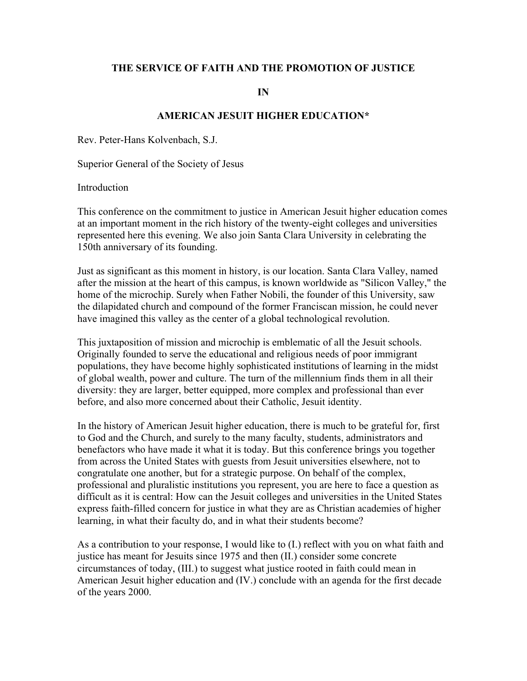## **THE SERVICE OF FAITH AND THE PROMOTION OF JUSTICE**

**IN**

### **AMERICAN JESUIT HIGHER EDUCATION\***

Rev. Peter-Hans Kolvenbach, S.J.

Superior General of the Society of Jesus

#### Introduction

This conference on the commitment to justice in American Jesuit higher education comes at an important moment in the rich history of the twenty-eight colleges and universities represented here this evening. We also join Santa Clara University in celebrating the 150th anniversary of its founding.

Just as significant as this moment in history, is our location. Santa Clara Valley, named after the mission at the heart of this campus, is known worldwide as "Silicon Valley," the home of the microchip. Surely when Father Nobili, the founder of this University, saw the dilapidated church and compound of the former Franciscan mission, he could never have imagined this valley as the center of a global technological revolution.

This juxtaposition of mission and microchip is emblematic of all the Jesuit schools. Originally founded to serve the educational and religious needs of poor immigrant populations, they have become highly sophisticated institutions of learning in the midst of global wealth, power and culture. The turn of the millennium finds them in all their diversity: they are larger, better equipped, more complex and professional than ever before, and also more concerned about their Catholic, Jesuit identity.

In the history of American Jesuit higher education, there is much to be grateful for, first to God and the Church, and surely to the many faculty, students, administrators and benefactors who have made it what it is today. But this conference brings you together from across the United States with guests from Jesuit universities elsewhere, not to congratulate one another, but for a strategic purpose. On behalf of the complex, professional and pluralistic institutions you represent, you are here to face a question as difficult as it is central: How can the Jesuit colleges and universities in the United States express faith-filled concern for justice in what they are as Christian academies of higher learning, in what their faculty do, and in what their students become?

As a contribution to your response, I would like to (I.) reflect with you on what faith and justice has meant for Jesuits since 1975 and then (II.) consider some concrete circumstances of today, (III.) to suggest what justice rooted in faith could mean in American Jesuit higher education and (IV.) conclude with an agenda for the first decade of the years 2000.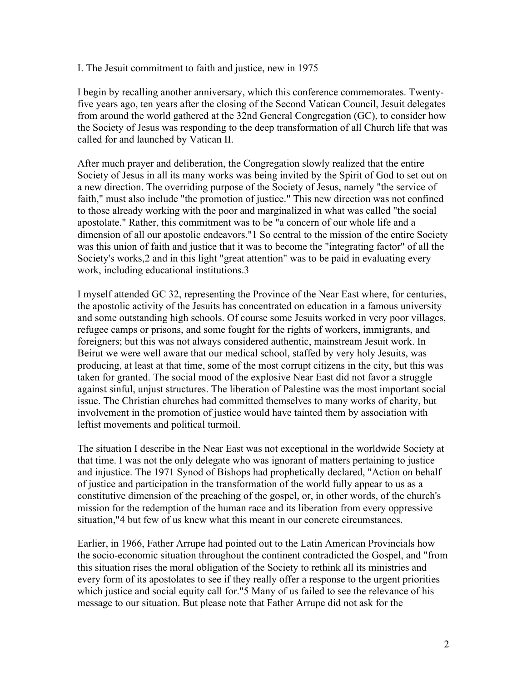### I. The Jesuit commitment to faith and justice, new in 1975

I begin by recalling another anniversary, which this conference commemorates. Twentyfive years ago, ten years after the closing of the Second Vatican Council, Jesuit delegates from around the world gathered at the 32nd General Congregation (GC), to consider how the Society of Jesus was responding to the deep transformation of all Church life that was called for and launched by Vatican II.

After much prayer and deliberation, the Congregation slowly realized that the entire Society of Jesus in all its many works was being invited by the Spirit of God to set out on a new direction. The overriding purpose of the Society of Jesus, namely "the service of faith," must also include "the promotion of justice." This new direction was not confined to those already working with the poor and marginalized in what was called "the social apostolate." Rather, this commitment was to be "a concern of our whole life and a dimension of all our apostolic endeavors."1 So central to the mission of the entire Society was this union of faith and justice that it was to become the "integrating factor" of all the Society's works,2 and in this light "great attention" was to be paid in evaluating every work, including educational institutions.3

I myself attended GC 32, representing the Province of the Near East where, for centuries, the apostolic activity of the Jesuits has concentrated on education in a famous university and some outstanding high schools. Of course some Jesuits worked in very poor villages, refugee camps or prisons, and some fought for the rights of workers, immigrants, and foreigners; but this was not always considered authentic, mainstream Jesuit work. In Beirut we were well aware that our medical school, staffed by very holy Jesuits, was producing, at least at that time, some of the most corrupt citizens in the city, but this was taken for granted. The social mood of the explosive Near East did not favor a struggle against sinful, unjust structures. The liberation of Palestine was the most important social issue. The Christian churches had committed themselves to many works of charity, but involvement in the promotion of justice would have tainted them by association with leftist movements and political turmoil.

The situation I describe in the Near East was not exceptional in the worldwide Society at that time. I was not the only delegate who was ignorant of matters pertaining to justice and injustice. The 1971 Synod of Bishops had prophetically declared, "Action on behalf of justice and participation in the transformation of the world fully appear to us as a constitutive dimension of the preaching of the gospel, or, in other words, of the church's mission for the redemption of the human race and its liberation from every oppressive situation,"4 but few of us knew what this meant in our concrete circumstances.

Earlier, in 1966, Father Arrupe had pointed out to the Latin American Provincials how the socio-economic situation throughout the continent contradicted the Gospel, and "from this situation rises the moral obligation of the Society to rethink all its ministries and every form of its apostolates to see if they really offer a response to the urgent priorities which justice and social equity call for."5 Many of us failed to see the relevance of his message to our situation. But please note that Father Arrupe did not ask for the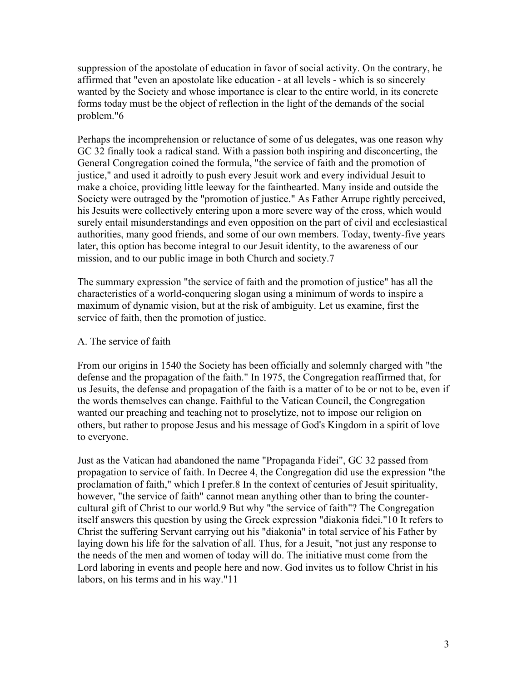suppression of the apostolate of education in favor of social activity. On the contrary, he affirmed that "even an apostolate like education - at all levels - which is so sincerely wanted by the Society and whose importance is clear to the entire world, in its concrete forms today must be the object of reflection in the light of the demands of the social problem."6

Perhaps the incomprehension or reluctance of some of us delegates, was one reason why GC 32 finally took a radical stand. With a passion both inspiring and disconcerting, the General Congregation coined the formula, "the service of faith and the promotion of justice," and used it adroitly to push every Jesuit work and every individual Jesuit to make a choice, providing little leeway for the fainthearted. Many inside and outside the Society were outraged by the "promotion of justice." As Father Arrupe rightly perceived, his Jesuits were collectively entering upon a more severe way of the cross, which would surely entail misunderstandings and even opposition on the part of civil and ecclesiastical authorities, many good friends, and some of our own members. Today, twenty-five years later, this option has become integral to our Jesuit identity, to the awareness of our mission, and to our public image in both Church and society.7

The summary expression "the service of faith and the promotion of justice" has all the characteristics of a world-conquering slogan using a minimum of words to inspire a maximum of dynamic vision, but at the risk of ambiguity. Let us examine, first the service of faith, then the promotion of justice.

## A. The service of faith

From our origins in 1540 the Society has been officially and solemnly charged with "the defense and the propagation of the faith." In 1975, the Congregation reaffirmed that, for us Jesuits, the defense and propagation of the faith is a matter of to be or not to be, even if the words themselves can change. Faithful to the Vatican Council, the Congregation wanted our preaching and teaching not to proselytize, not to impose our religion on others, but rather to propose Jesus and his message of God's Kingdom in a spirit of love to everyone.

Just as the Vatican had abandoned the name "Propaganda Fidei", GC 32 passed from propagation to service of faith. In Decree 4, the Congregation did use the expression "the proclamation of faith," which I prefer.8 In the context of centuries of Jesuit spirituality, however, "the service of faith" cannot mean anything other than to bring the countercultural gift of Christ to our world.9 But why "the service of faith"? The Congregation itself answers this question by using the Greek expression "diakonia fidei."10 It refers to Christ the suffering Servant carrying out his "diakonia" in total service of his Father by laying down his life for the salvation of all. Thus, for a Jesuit, "not just any response to the needs of the men and women of today will do. The initiative must come from the Lord laboring in events and people here and now. God invites us to follow Christ in his labors, on his terms and in his way."11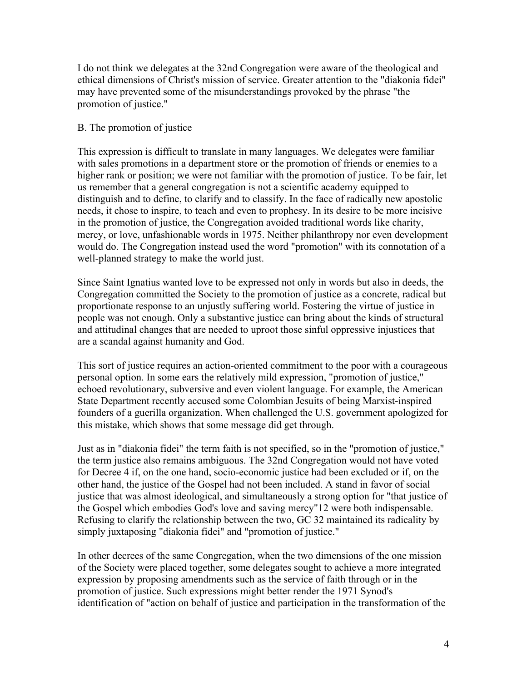I do not think we delegates at the 32nd Congregation were aware of the theological and ethical dimensions of Christ's mission of service. Greater attention to the "diakonia fidei" may have prevented some of the misunderstandings provoked by the phrase "the promotion of justice."

# B. The promotion of justice

This expression is difficult to translate in many languages. We delegates were familiar with sales promotions in a department store or the promotion of friends or enemies to a higher rank or position; we were not familiar with the promotion of justice. To be fair, let us remember that a general congregation is not a scientific academy equipped to distinguish and to define, to clarify and to classify. In the face of radically new apostolic needs, it chose to inspire, to teach and even to prophesy. In its desire to be more incisive in the promotion of justice, the Congregation avoided traditional words like charity, mercy, or love, unfashionable words in 1975. Neither philanthropy nor even development would do. The Congregation instead used the word "promotion" with its connotation of a well-planned strategy to make the world just.

Since Saint Ignatius wanted love to be expressed not only in words but also in deeds, the Congregation committed the Society to the promotion of justice as a concrete, radical but proportionate response to an unjustly suffering world. Fostering the virtue of justice in people was not enough. Only a substantive justice can bring about the kinds of structural and attitudinal changes that are needed to uproot those sinful oppressive injustices that are a scandal against humanity and God.

This sort of justice requires an action-oriented commitment to the poor with a courageous personal option. In some ears the relatively mild expression, "promotion of justice," echoed revolutionary, subversive and even violent language. For example, the American State Department recently accused some Colombian Jesuits of being Marxist-inspired founders of a guerilla organization. When challenged the U.S. government apologized for this mistake, which shows that some message did get through.

Just as in "diakonia fidei" the term faith is not specified, so in the "promotion of justice," the term justice also remains ambiguous. The 32nd Congregation would not have voted for Decree 4 if, on the one hand, socio-economic justice had been excluded or if, on the other hand, the justice of the Gospel had not been included. A stand in favor of social justice that was almost ideological, and simultaneously a strong option for "that justice of the Gospel which embodies God's love and saving mercy"12 were both indispensable. Refusing to clarify the relationship between the two, GC 32 maintained its radicality by simply juxtaposing "diakonia fidei" and "promotion of justice."

In other decrees of the same Congregation, when the two dimensions of the one mission of the Society were placed together, some delegates sought to achieve a more integrated expression by proposing amendments such as the service of faith through or in the promotion of justice. Such expressions might better render the 1971 Synod's identification of "action on behalf of justice and participation in the transformation of the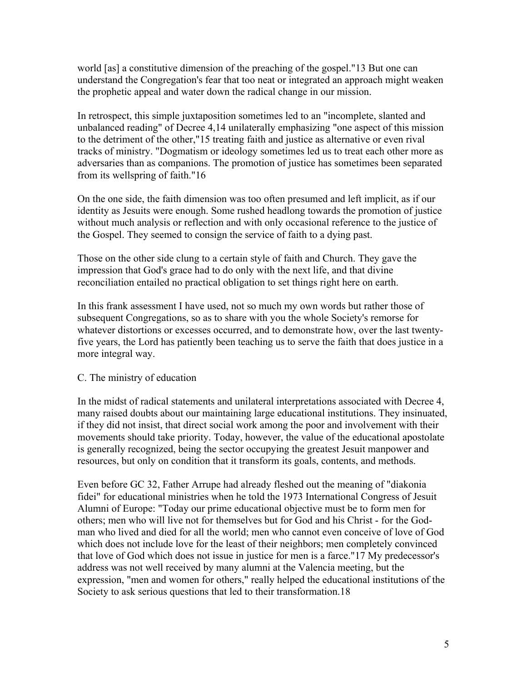world [as] a constitutive dimension of the preaching of the gospel."13 But one can understand the Congregation's fear that too neat or integrated an approach might weaken the prophetic appeal and water down the radical change in our mission.

In retrospect, this simple juxtaposition sometimes led to an "incomplete, slanted and unbalanced reading" of Decree 4,14 unilaterally emphasizing "one aspect of this mission to the detriment of the other,"15 treating faith and justice as alternative or even rival tracks of ministry. "Dogmatism or ideology sometimes led us to treat each other more as adversaries than as companions. The promotion of justice has sometimes been separated from its wellspring of faith."16

On the one side, the faith dimension was too often presumed and left implicit, as if our identity as Jesuits were enough. Some rushed headlong towards the promotion of justice without much analysis or reflection and with only occasional reference to the justice of the Gospel. They seemed to consign the service of faith to a dying past.

Those on the other side clung to a certain style of faith and Church. They gave the impression that God's grace had to do only with the next life, and that divine reconciliation entailed no practical obligation to set things right here on earth.

In this frank assessment I have used, not so much my own words but rather those of subsequent Congregations, so as to share with you the whole Society's remorse for whatever distortions or excesses occurred, and to demonstrate how, over the last twentyfive years, the Lord has patiently been teaching us to serve the faith that does justice in a more integral way.

# C. The ministry of education

In the midst of radical statements and unilateral interpretations associated with Decree 4, many raised doubts about our maintaining large educational institutions. They insinuated, if they did not insist, that direct social work among the poor and involvement with their movements should take priority. Today, however, the value of the educational apostolate is generally recognized, being the sector occupying the greatest Jesuit manpower and resources, but only on condition that it transform its goals, contents, and methods.

Even before GC 32, Father Arrupe had already fleshed out the meaning of "diakonia fidei" for educational ministries when he told the 1973 International Congress of Jesuit Alumni of Europe: "Today our prime educational objective must be to form men for others; men who will live not for themselves but for God and his Christ - for the Godman who lived and died for all the world; men who cannot even conceive of love of God which does not include love for the least of their neighbors; men completely convinced that love of God which does not issue in justice for men is a farce."17 My predecessor's address was not well received by many alumni at the Valencia meeting, but the expression, "men and women for others," really helped the educational institutions of the Society to ask serious questions that led to their transformation.18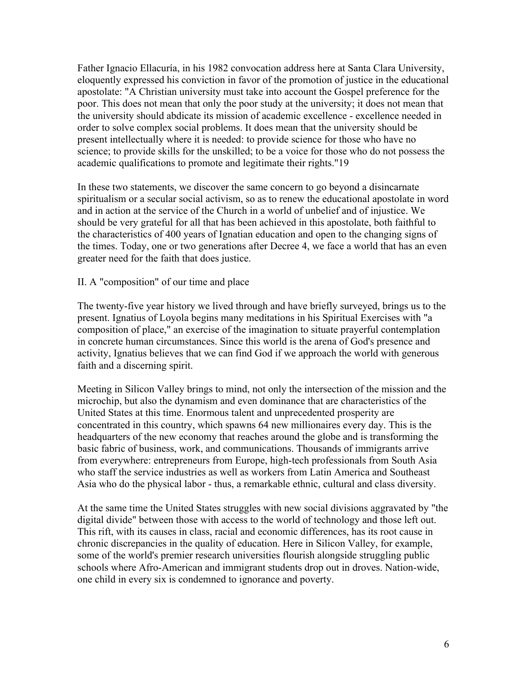Father Ignacio Ellacuría, in his 1982 convocation address here at Santa Clara University, eloquently expressed his conviction in favor of the promotion of justice in the educational apostolate: "A Christian university must take into account the Gospel preference for the poor. This does not mean that only the poor study at the university; it does not mean that the university should abdicate its mission of academic excellence - excellence needed in order to solve complex social problems. It does mean that the university should be present intellectually where it is needed: to provide science for those who have no science; to provide skills for the unskilled; to be a voice for those who do not possess the academic qualifications to promote and legitimate their rights."19

In these two statements, we discover the same concern to go beyond a disincarnate spiritualism or a secular social activism, so as to renew the educational apostolate in word and in action at the service of the Church in a world of unbelief and of injustice. We should be very grateful for all that has been achieved in this apostolate, both faithful to the characteristics of 400 years of Ignatian education and open to the changing signs of the times. Today, one or two generations after Decree 4, we face a world that has an even greater need for the faith that does justice.

II. A "composition" of our time and place

The twenty-five year history we lived through and have briefly surveyed, brings us to the present. Ignatius of Loyola begins many meditations in his Spiritual Exercises with "a composition of place," an exercise of the imagination to situate prayerful contemplation in concrete human circumstances. Since this world is the arena of God's presence and activity, Ignatius believes that we can find God if we approach the world with generous faith and a discerning spirit.

Meeting in Silicon Valley brings to mind, not only the intersection of the mission and the microchip, but also the dynamism and even dominance that are characteristics of the United States at this time. Enormous talent and unprecedented prosperity are concentrated in this country, which spawns 64 new millionaires every day. This is the headquarters of the new economy that reaches around the globe and is transforming the basic fabric of business, work, and communications. Thousands of immigrants arrive from everywhere: entrepreneurs from Europe, high-tech professionals from South Asia who staff the service industries as well as workers from Latin America and Southeast Asia who do the physical labor - thus, a remarkable ethnic, cultural and class diversity.

At the same time the United States struggles with new social divisions aggravated by "the digital divide" between those with access to the world of technology and those left out. This rift, with its causes in class, racial and economic differences, has its root cause in chronic discrepancies in the quality of education. Here in Silicon Valley, for example, some of the world's premier research universities flourish alongside struggling public schools where Afro-American and immigrant students drop out in droves. Nation-wide, one child in every six is condemned to ignorance and poverty.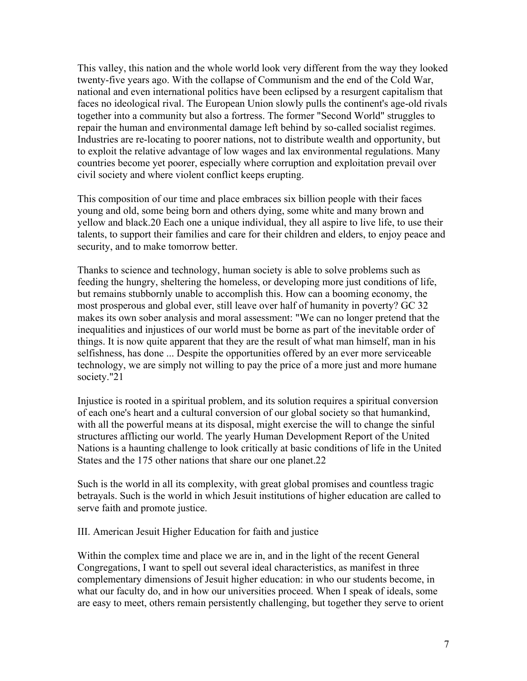This valley, this nation and the whole world look very different from the way they looked twenty-five years ago. With the collapse of Communism and the end of the Cold War, national and even international politics have been eclipsed by a resurgent capitalism that faces no ideological rival. The European Union slowly pulls the continent's age-old rivals together into a community but also a fortress. The former "Second World" struggles to repair the human and environmental damage left behind by so-called socialist regimes. Industries are re-locating to poorer nations, not to distribute wealth and opportunity, but to exploit the relative advantage of low wages and lax environmental regulations. Many countries become yet poorer, especially where corruption and exploitation prevail over civil society and where violent conflict keeps erupting.

This composition of our time and place embraces six billion people with their faces young and old, some being born and others dying, some white and many brown and yellow and black.20 Each one a unique individual, they all aspire to live life, to use their talents, to support their families and care for their children and elders, to enjoy peace and security, and to make tomorrow better.

Thanks to science and technology, human society is able to solve problems such as feeding the hungry, sheltering the homeless, or developing more just conditions of life, but remains stubbornly unable to accomplish this. How can a booming economy, the most prosperous and global ever, still leave over half of humanity in poverty? GC 32 makes its own sober analysis and moral assessment: "We can no longer pretend that the inequalities and injustices of our world must be borne as part of the inevitable order of things. It is now quite apparent that they are the result of what man himself, man in his selfishness, has done ... Despite the opportunities offered by an ever more serviceable technology, we are simply not willing to pay the price of a more just and more humane society."21

Injustice is rooted in a spiritual problem, and its solution requires a spiritual conversion of each one's heart and a cultural conversion of our global society so that humankind, with all the powerful means at its disposal, might exercise the will to change the sinful structures afflicting our world. The yearly Human Development Report of the United Nations is a haunting challenge to look critically at basic conditions of life in the United States and the 175 other nations that share our one planet.22

Such is the world in all its complexity, with great global promises and countless tragic betrayals. Such is the world in which Jesuit institutions of higher education are called to serve faith and promote justice.

III. American Jesuit Higher Education for faith and justice

Within the complex time and place we are in, and in the light of the recent General Congregations, I want to spell out several ideal characteristics, as manifest in three complementary dimensions of Jesuit higher education: in who our students become, in what our faculty do, and in how our universities proceed. When I speak of ideals, some are easy to meet, others remain persistently challenging, but together they serve to orient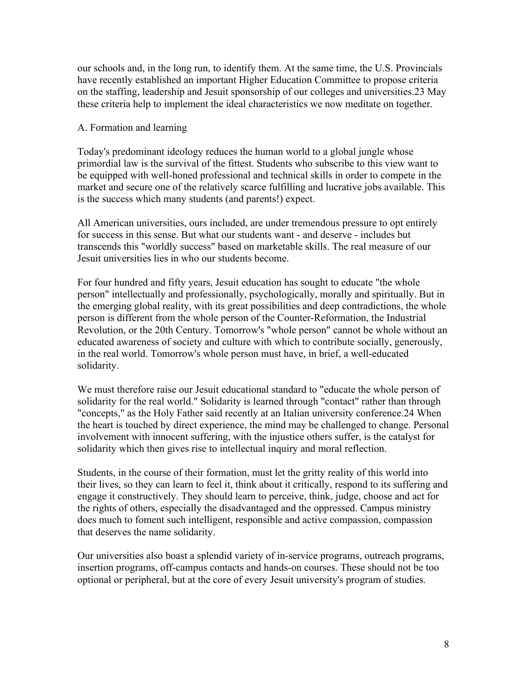our schools and, in the long run, to identify them. At the same time, the U.S. Provincials have recently established an important Higher Education Committee to propose criteria on the staffing, leadership and Jesuit sponsorship of our colleges and universities.23 May these criteria help to implement the ideal characteristics we now meditate on together.

# A. Formation and learning

Today's predominant ideology reduces the human world to a global jungle whose primordial law is the survival of the fittest. Students who subscribe to this view want to be equipped with well-honed professional and technical skills in order to compete in the market and secure one of the relatively scarce fulfilling and lucrative jobs available. This is the success which many students (and parents!) expect.

All American universities, ours included, are under tremendous pressure to opt entirely for success in this sense. But what our students want - and deserve - includes but transcends this "worldly success" based on marketable skills. The real measure of our Jesuit universities lies in who our students become.

For four hundred and fifty years, Jesuit education has sought to educate "the whole person" intellectually and professionally, psychologically, morally and spiritually. But in the emerging global reality, with its great possibilities and deep contradictions, the whole person is different from the whole person of the Counter-Reformation, the Industrial Revolution, or the 20th Century. Tomorrow's "whole person" cannot be whole without an educated awareness of society and culture with which to contribute socially, generously, in the real world. Tomorrow's whole person must have, in brief, a well-educated solidarity.

We must therefore raise our Jesuit educational standard to "educate the whole person of solidarity for the real world." Solidarity is learned through "contact" rather than through "concepts," as the Holy Father said recently at an Italian university conference.24 When the heart is touched by direct experience, the mind may be challenged to change. Personal involvement with innocent suffering, with the injustice others suffer, is the catalyst for solidarity which then gives rise to intellectual inquiry and moral reflection.

Students, in the course of their formation, must let the gritty reality of this world into their lives, so they can learn to feel it, think about it critically, respond to its suffering and engage it constructively. They should learn to perceive, think, judge, choose and act for the rights of others, especially the disadvantaged and the oppressed. Campus ministry does much to foment such intelligent, responsible and active compassion, compassion that deserves the name solidarity.

Our universities also boast a splendid variety of in-service programs, outreach programs, insertion programs, off-campus contacts and hands-on courses. These should not be too optional or peripheral, but at the core of every Jesuit university's program of studies.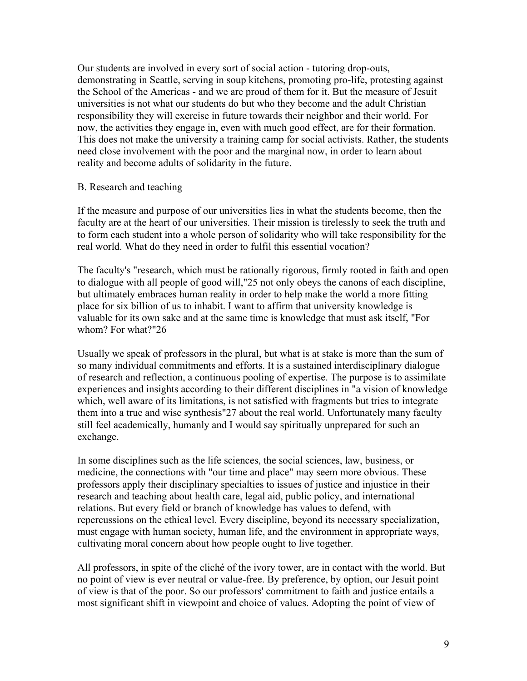Our students are involved in every sort of social action - tutoring drop-outs, demonstrating in Seattle, serving in soup kitchens, promoting pro-life, protesting against the School of the Americas - and we are proud of them for it. But the measure of Jesuit universities is not what our students do but who they become and the adult Christian responsibility they will exercise in future towards their neighbor and their world. For now, the activities they engage in, even with much good effect, are for their formation. This does not make the university a training camp for social activists. Rather, the students need close involvement with the poor and the marginal now, in order to learn about reality and become adults of solidarity in the future.

### B. Research and teaching

If the measure and purpose of our universities lies in what the students become, then the faculty are at the heart of our universities. Their mission is tirelessly to seek the truth and to form each student into a whole person of solidarity who will take responsibility for the real world. What do they need in order to fulfil this essential vocation?

The faculty's "research, which must be rationally rigorous, firmly rooted in faith and open to dialogue with all people of good will,"25 not only obeys the canons of each discipline, but ultimately embraces human reality in order to help make the world a more fitting place for six billion of us to inhabit. I want to affirm that university knowledge is valuable for its own sake and at the same time is knowledge that must ask itself, "For whom? For what?"26

Usually we speak of professors in the plural, but what is at stake is more than the sum of so many individual commitments and efforts. It is a sustained interdisciplinary dialogue of research and reflection, a continuous pooling of expertise. The purpose is to assimilate experiences and insights according to their different disciplines in "a vision of knowledge which, well aware of its limitations, is not satisfied with fragments but tries to integrate them into a true and wise synthesis"27 about the real world. Unfortunately many faculty still feel academically, humanly and I would say spiritually unprepared for such an exchange.

In some disciplines such as the life sciences, the social sciences, law, business, or medicine, the connections with "our time and place" may seem more obvious. These professors apply their disciplinary specialties to issues of justice and injustice in their research and teaching about health care, legal aid, public policy, and international relations. But every field or branch of knowledge has values to defend, with repercussions on the ethical level. Every discipline, beyond its necessary specialization, must engage with human society, human life, and the environment in appropriate ways, cultivating moral concern about how people ought to live together.

All professors, in spite of the cliché of the ivory tower, are in contact with the world. But no point of view is ever neutral or value-free. By preference, by option, our Jesuit point of view is that of the poor. So our professors' commitment to faith and justice entails a most significant shift in viewpoint and choice of values. Adopting the point of view of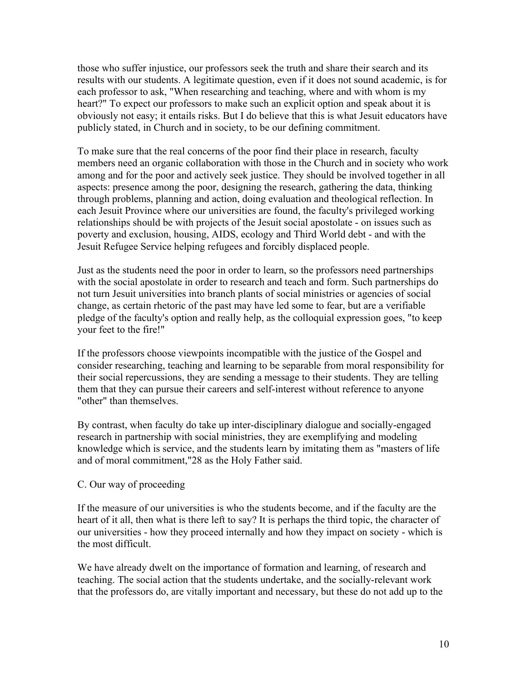those who suffer injustice, our professors seek the truth and share their search and its results with our students. A legitimate question, even if it does not sound academic, is for each professor to ask, "When researching and teaching, where and with whom is my heart?" To expect our professors to make such an explicit option and speak about it is obviously not easy; it entails risks. But I do believe that this is what Jesuit educators have publicly stated, in Church and in society, to be our defining commitment.

To make sure that the real concerns of the poor find their place in research, faculty members need an organic collaboration with those in the Church and in society who work among and for the poor and actively seek justice. They should be involved together in all aspects: presence among the poor, designing the research, gathering the data, thinking through problems, planning and action, doing evaluation and theological reflection. In each Jesuit Province where our universities are found, the faculty's privileged working relationships should be with projects of the Jesuit social apostolate - on issues such as poverty and exclusion, housing, AIDS, ecology and Third World debt - and with the Jesuit Refugee Service helping refugees and forcibly displaced people.

Just as the students need the poor in order to learn, so the professors need partnerships with the social apostolate in order to research and teach and form. Such partnerships do not turn Jesuit universities into branch plants of social ministries or agencies of social change, as certain rhetoric of the past may have led some to fear, but are a verifiable pledge of the faculty's option and really help, as the colloquial expression goes, "to keep your feet to the fire!"

If the professors choose viewpoints incompatible with the justice of the Gospel and consider researching, teaching and learning to be separable from moral responsibility for their social repercussions, they are sending a message to their students. They are telling them that they can pursue their careers and self-interest without reference to anyone "other" than themselves.

By contrast, when faculty do take up inter-disciplinary dialogue and socially-engaged research in partnership with social ministries, they are exemplifying and modeling knowledge which is service, and the students learn by imitating them as "masters of life and of moral commitment,"28 as the Holy Father said.

### C. Our way of proceeding

If the measure of our universities is who the students become, and if the faculty are the heart of it all, then what is there left to say? It is perhaps the third topic, the character of our universities - how they proceed internally and how they impact on society - which is the most difficult.

We have already dwelt on the importance of formation and learning, of research and teaching. The social action that the students undertake, and the socially-relevant work that the professors do, are vitally important and necessary, but these do not add up to the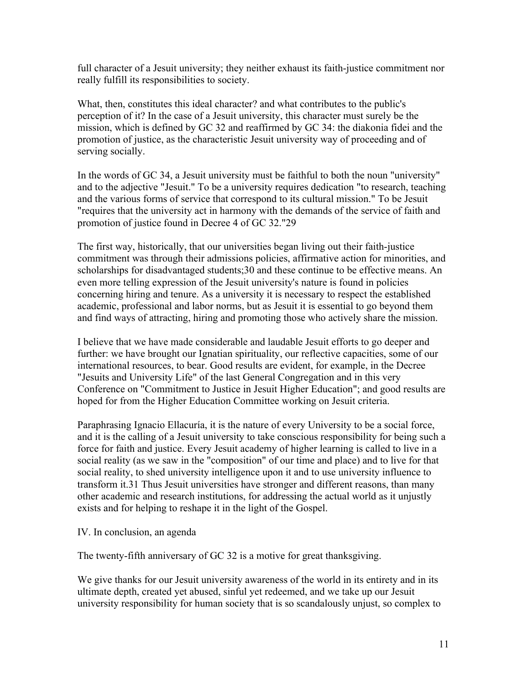full character of a Jesuit university; they neither exhaust its faith-justice commitment nor really fulfill its responsibilities to society.

What, then, constitutes this ideal character? and what contributes to the public's perception of it? In the case of a Jesuit university, this character must surely be the mission, which is defined by GC 32 and reaffirmed by GC 34: the diakonia fidei and the promotion of justice, as the characteristic Jesuit university way of proceeding and of serving socially.

In the words of GC 34, a Jesuit university must be faithful to both the noun "university" and to the adjective "Jesuit." To be a university requires dedication "to research, teaching and the various forms of service that correspond to its cultural mission." To be Jesuit "requires that the university act in harmony with the demands of the service of faith and promotion of justice found in Decree 4 of GC 32."29

The first way, historically, that our universities began living out their faith-justice commitment was through their admissions policies, affirmative action for minorities, and scholarships for disadvantaged students;30 and these continue to be effective means. An even more telling expression of the Jesuit university's nature is found in policies concerning hiring and tenure. As a university it is necessary to respect the established academic, professional and labor norms, but as Jesuit it is essential to go beyond them and find ways of attracting, hiring and promoting those who actively share the mission.

I believe that we have made considerable and laudable Jesuit efforts to go deeper and further: we have brought our Ignatian spirituality, our reflective capacities, some of our international resources, to bear. Good results are evident, for example, in the Decree "Jesuits and University Life" of the last General Congregation and in this very Conference on "Commitment to Justice in Jesuit Higher Education"; and good results are hoped for from the Higher Education Committee working on Jesuit criteria.

Paraphrasing Ignacio Ellacuría, it is the nature of every University to be a social force, and it is the calling of a Jesuit university to take conscious responsibility for being such a force for faith and justice. Every Jesuit academy of higher learning is called to live in a social reality (as we saw in the "composition" of our time and place) and to live for that social reality, to shed university intelligence upon it and to use university influence to transform it.31 Thus Jesuit universities have stronger and different reasons, than many other academic and research institutions, for addressing the actual world as it unjustly exists and for helping to reshape it in the light of the Gospel.

### IV. In conclusion, an agenda

The twenty-fifth anniversary of GC 32 is a motive for great thanksgiving.

We give thanks for our Jesuit university awareness of the world in its entirety and in its ultimate depth, created yet abused, sinful yet redeemed, and we take up our Jesuit university responsibility for human society that is so scandalously unjust, so complex to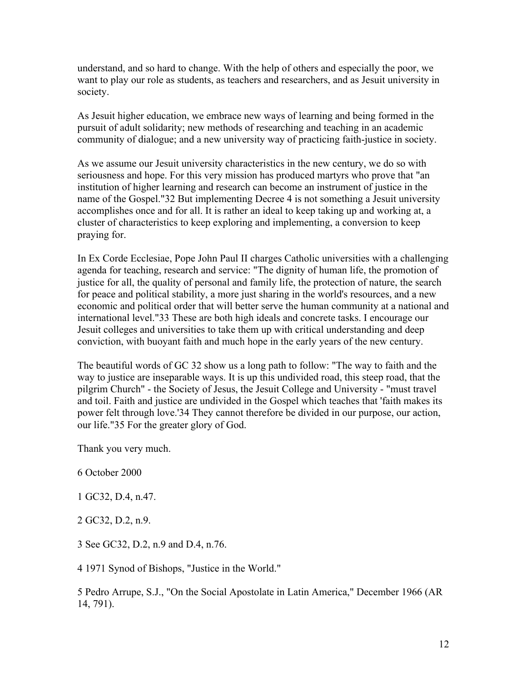understand, and so hard to change. With the help of others and especially the poor, we want to play our role as students, as teachers and researchers, and as Jesuit university in society.

As Jesuit higher education, we embrace new ways of learning and being formed in the pursuit of adult solidarity; new methods of researching and teaching in an academic community of dialogue; and a new university way of practicing faith-justice in society.

As we assume our Jesuit university characteristics in the new century, we do so with seriousness and hope. For this very mission has produced martyrs who prove that "an institution of higher learning and research can become an instrument of justice in the name of the Gospel."32 But implementing Decree 4 is not something a Jesuit university accomplishes once and for all. It is rather an ideal to keep taking up and working at, a cluster of characteristics to keep exploring and implementing, a conversion to keep praying for.

In Ex Corde Ecclesiae, Pope John Paul II charges Catholic universities with a challenging agenda for teaching, research and service: "The dignity of human life, the promotion of justice for all, the quality of personal and family life, the protection of nature, the search for peace and political stability, a more just sharing in the world's resources, and a new economic and political order that will better serve the human community at a national and international level."33 These are both high ideals and concrete tasks. I encourage our Jesuit colleges and universities to take them up with critical understanding and deep conviction, with buoyant faith and much hope in the early years of the new century.

The beautiful words of GC 32 show us a long path to follow: "The way to faith and the way to justice are inseparable ways. It is up this undivided road, this steep road, that the pilgrim Church" - the Society of Jesus, the Jesuit College and University - "must travel and toil. Faith and justice are undivided in the Gospel which teaches that 'faith makes its power felt through love.'34 They cannot therefore be divided in our purpose, our action, our life."35 For the greater glory of God.

Thank you very much.

6 October 2000

1 GC32, D.4, n.47.

2 GC32, D.2, n.9.

3 See GC32, D.2, n.9 and D.4, n.76.

4 1971 Synod of Bishops, "Justice in the World."

5 Pedro Arrupe, S.J., "On the Social Apostolate in Latin America," December 1966 (AR 14, 791).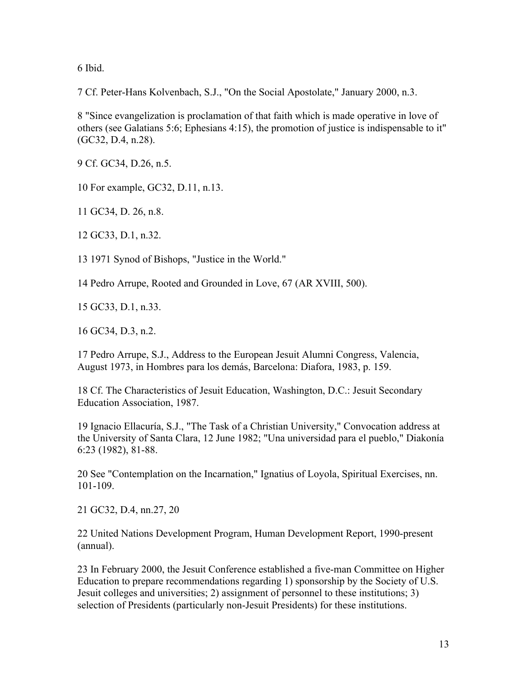6 Ibid.

7 Cf. Peter-Hans Kolvenbach, S.J., "On the Social Apostolate," January 2000, n.3.

8 "Since evangelization is proclamation of that faith which is made operative in love of others (see Galatians 5:6; Ephesians 4:15), the promotion of justice is indispensable to it" (GC32, D.4, n.28).

9 Cf. GC34, D.26, n.5.

10 For example, GC32, D.11, n.13.

11 GC34, D. 26, n.8.

12 GC33, D.1, n.32.

13 1971 Synod of Bishops, "Justice in the World."

14 Pedro Arrupe, Rooted and Grounded in Love, 67 (AR XVIII, 500).

15 GC33, D.1, n.33.

16 GC34, D.3, n.2.

17 Pedro Arrupe, S.J., Address to the European Jesuit Alumni Congress, Valencia, August 1973, in Hombres para los demás, Barcelona: Diafora, 1983, p. 159.

18 Cf. The Characteristics of Jesuit Education, Washington, D.C.: Jesuit Secondary Education Association, 1987.

19 Ignacio Ellacuría, S.J., "The Task of a Christian University," Convocation address at the University of Santa Clara, 12 June 1982; "Una universidad para el pueblo," Diakonía 6:23 (1982), 81-88.

20 See "Contemplation on the Incarnation," Ignatius of Loyola, Spiritual Exercises, nn. 101-109.

21 GC32, D.4, nn.27, 20

22 United Nations Development Program, Human Development Report, 1990-present (annual).

23 In February 2000, the Jesuit Conference established a five-man Committee on Higher Education to prepare recommendations regarding 1) sponsorship by the Society of U.S. Jesuit colleges and universities; 2) assignment of personnel to these institutions; 3) selection of Presidents (particularly non-Jesuit Presidents) for these institutions.